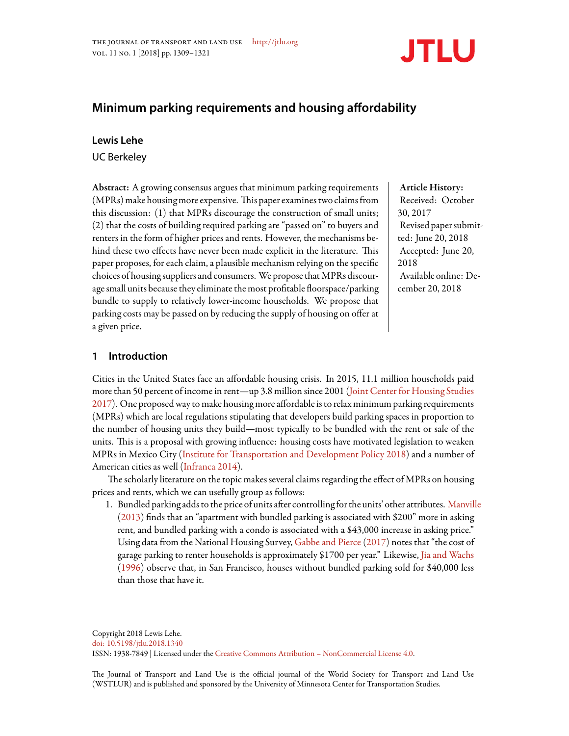

# **Minimum parking requirements and housing affordability**

# **Lewis Lehe**

UC Berkeley

Abstract: A growing consensus argues that minimum parking requirements  $(MPRs)$  make housing more expensive. This paper examines two claims from this discussion: (1) that MPRs discourage the construction of small units; (2) that the costs of building required parking are "passed on" to buyers and renters in the form of higher prices and rents. However, the mechanisms behind these two effects have never been made explicit in the literature. This paper proposes, for each claim, a plausible mechanism relying on the specific choices of housing suppliers and consumers. We propose that MPRs discourage small units because they eliminate the most profitable floorspace/parking bundle to supply to relatively lower-income households. We propose that parking costs may be passed on by reducing the supply of housing on offer at a given price.

# Article History:

Received: October 30, 2017 Revised paper submitted: June 20, 2018 Accepted: June 20, 2018 Available online: December 20, 2018

# **1 Introduction**

Cities in the United States face an affordable housing crisis. In 2015, 11.1 million households paid more than 50 percent of income in rent—up 3.8 million since 2001 [\(Joint Center for Housing Studies](#page-10-0) [2017](#page-10-0)). One proposed way to make housing more affordable is to relax minimum parking requirements (MPRs) which are local regulations stipulating that developers build parking spaces in proportion to the number of housing units they build—most typically to be bundled with the rent or sale of the units. This is a proposal with growing influence: housing costs have motivated legislation to weaken MPRs in Mexico City [\(Institute for Transportation and Development Policy](#page-9-0) [2018](#page-9-0)) and a number of American cities as well([Infranca](#page-9-1) [2014](#page-9-1)).

The scholarly literature on the topic makes several claims regarding the effect of MPRs on housing prices and rents, which we can usefully group as follows:

1. Bundled parking adds to the price of units after controlling for the units' other attributes. [Manville](#page-10-1) [\(2013](#page-10-1)) finds that an "apartment with bundled parking is associated with \$200" more in asking rent, and bundled parking with a condo is associated with a \$43,000 increase in asking price." Using data from the National Housing Survey, [Gabbe and Pierce\(2017\)](#page-9-2) notes that "the cost of garage parking to renter households is approximately \$1700 per year." Likewise, [Jia and Wachs](#page-10-2) [\(1996](#page-10-2)) observe that, in San Francisco, houses without bundled parking sold for \$40,000 less than those that have it.

Copyright 2018 Lewis Lehe. [doi: 10.5198/jtlu.2018.1340](http://dx.doi.org/10.5198/jtlu.{\@jtluyear }.{\@jtluid }) ISSN: 1938-7849 | Licensed under the [Creative Commons Attribution – NonCommercial License 4.0.](http://creativecommons.org/licenses/by-nc/4.0)

The Journal of Transport and Land Use is the official journal of the World Society for Transport and Land Use (WSTLUR) and is published and sponsored by the University of Minnesota Center for Transportation Studies.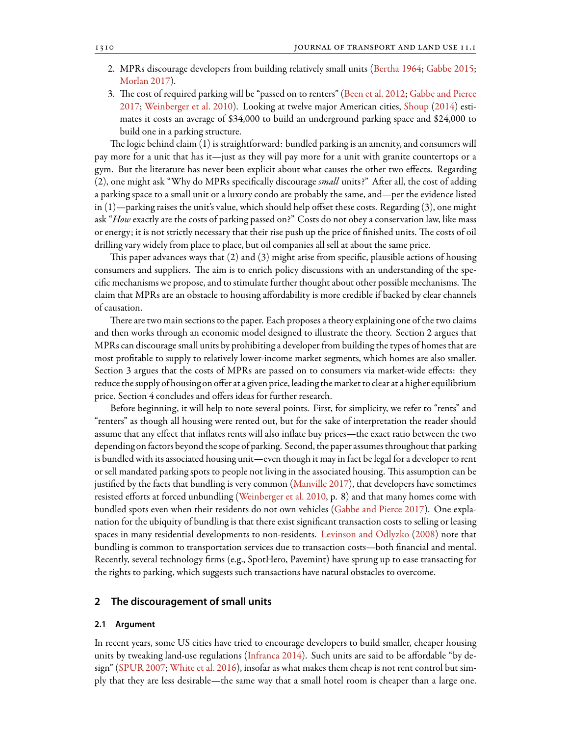- 2. MPRs discourage developers from building relatively small units [\(Bertha](#page-9-3) [1964;](#page-9-3) [Gabbe](#page-9-4) [2015](#page-9-4); [Morlan](#page-10-3) [2017](#page-10-3)).
- 3. The cost of required parking will be "passed on to renters" [\(Been et al.](#page-9-5) [2012](#page-9-5); [Gabbe and Pierce](#page-9-2) [2017](#page-9-2); [Weinberger et al.](#page-10-4) [2010\)](#page-10-4). Looking at twelve major American cities, [Shoup](#page-10-5) [\(2014](#page-10-5)) estimates it costs an average of \$34,000 to build an underground parking space and \$24,000 to build one in a parking structure.

The logic behind claim (1) is straightforward: bundled parking is an amenity, and consumers will pay more for a unit that has it—just as they will pay more for a unit with granite countertops or a gym. But the literature has never been explicit about what causes the other two effects. Regarding (2), one might ask "Why do MPRs specifically discourage *small* units?" After all, the cost of adding a parking space to a small unit or a luxury condo are probably the same, and—per the evidence listed in (1)—parking raises the unit's value, which should help offset these costs. Regarding (3), one might ask "*How* exactly are the costs of parking passed on?" Costs do not obey a conservation law, like mass or energy; it is not strictly necessary that their rise push up the price of finished units. The costs of oil drilling vary widely from place to place, but oil companies all sell at about the same price.

This paper advances ways that  $(2)$  and  $(3)$  might arise from specific, plausible actions of housing consumers and suppliers. The aim is to enrich policy discussions with an understanding of the specific mechanisms we propose, and to stimulate further thought about other possible mechanisms. The claim that MPRs are an obstacle to housing affordability is more credible if backed by clear channels of causation.

There are two main sections to the paper. Each proposes a theory explaining one of the two claims and then works through an economic model designed to illustrate the theory. Section 2 argues that MPRs can discourage small units by prohibiting a developer from building the types of homes that are most profitable to supply to relatively lower-income market segments, which homes are also smaller. Section 3 argues that the costs of MPRs are passed on to consumers via market-wide effects: they reduce the supply of housing on offer at a given price, leading the market to clear at a higher equilibrium price. Section 4 concludes and offers ideas for further research.

Before beginning, it will help to note several points. First, for simplicity, we refer to "rents" and "renters" as though all housing were rented out, but for the sake of interpretation the reader should assume that any effect that inflates rents will also inflate buy prices—the exact ratio between the two depending on factors beyond the scope of parking. Second, the paper assumes throughout that parking is bundled with its associated housing unit—even though it may in fact be legal for a developer to rent or sell mandated parking spots to people not living in the associated housing. This assumption can be justified by the facts that bundling is very common([Manville](#page-10-6) [2017](#page-10-6)), that developers have sometimes resisted efforts at forced unbundling [\(Weinberger et al.](#page-10-4) [2010,](#page-10-4) p. 8) and that many homes come with bundled spots even when their residents do not own vehicles([Gabbe and Pierce](#page-9-2) [2017\)](#page-9-2). One explanation for the ubiquity of bundling is that there exist significant transaction costs to selling or leasing spaces in many residential developments to non-residents. [Levinson and Odlyzko](#page-10-7) [\(2008](#page-10-7)) note that bundling is common to transportation services due to transaction costs—both financial and mental. Recently, several technology firms (e.g., SpotHero, Pavemint) have sprung up to ease transacting for the rights to parking, which suggests such transactions have natural obstacles to overcome.

### **2 The discouragement of small units**

#### **2.1 Argument**

In recent years, some US cities have tried to encourage developers to build smaller, cheaper housing units by tweaking land-use regulations([Infranca](#page-9-1) [2014\)](#page-9-1). Such units are said to be affordable "by de-sign"([SPUR](#page-10-8) [2007;](#page-10-8) [White et al.](#page-11-0) [2016\)](#page-11-0), insofar as what makes them cheap is not rent control but simply that they are less desirable—the same way that a small hotel room is cheaper than a large one.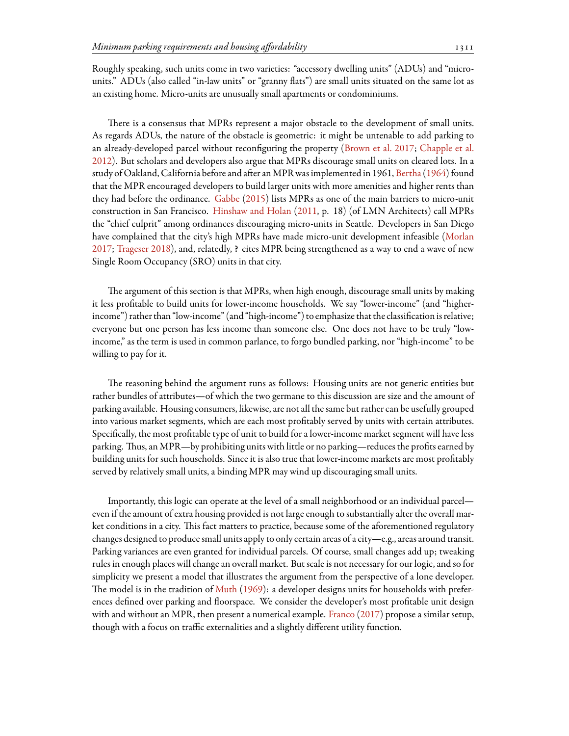Roughly speaking, such units come in two varieties: "accessory dwelling units" (ADUs) and "microunits." ADUs (also called "in-law units" or "granny flats") are small units situated on the same lot as an existing home. Micro-units are unusually small apartments or condominiums.

There is a consensus that MPRs represent a major obstacle to the development of small units. As regards ADUs, the nature of the obstacle is geometric: it might be untenable to add parking to an already-developed parcel without reconfiguring the property([Brown et al.](#page-9-6) [2017](#page-9-6); [Chapple et al.](#page-9-7) [2012](#page-9-7)). But scholars and developers also argue that MPRs discourage small units on cleared lots. In a study of Oakland, California before and after an MPR was implemented in 1961, [Bertha](#page-9-3) ([1964](#page-9-3)) found that the MPR encouraged developers to build larger units with more amenities and higher rents than they had before the ordinance. [Gabbe](#page-9-4) ([2015\)](#page-9-4) lists MPRs as one of the main barriers to micro-unit construction in San Francisco. [Hinshaw and Holan](#page-9-8) [\(2011](#page-9-8), p. 18) (of LMN Architects) call MPRs the "chief culprit" among ordinances discouraging micro-units in Seattle. Developers in San Diego have complained that the city's high MPRs have made micro-unit development infeasible [\(Morlan](#page-10-3) [2017](#page-10-3); [Trageser](#page-10-9) [2018\)](#page-10-9), and, relatedly, ? cites MPR being strengthened as a way to end a wave of new Single Room Occupancy (SRO) units in that city.

The argument of this section is that MPRs, when high enough, discourage small units by making it less profitable to build units for lower-income households. We say "lower-income" (and "higherincome") rather than "low-income" (and "high-income") to emphasize that the classification is relative; everyone but one person has less income than someone else. One does not have to be truly "lowincome," as the term is used in common parlance, to forgo bundled parking, nor "high-income" to be willing to pay for it.

The reasoning behind the argument runs as follows: Housing units are not generic entities but rather bundles of attributes—of which the two germane to this discussion are size and the amount of parking available. Housing consumers, likewise, are not all the same but rather can be usefully grouped into various market segments, which are each most profitably served by units with certain attributes. Specifically, the most profitable type of unit to build for a lower-income market segment will have less parking. Thus, an MPR—by prohibiting units with little or no parking—reduces the profits earned by building units for such households. Since it is also true that lower-income markets are most profitably served by relatively small units, a binding MPR may wind up discouraging small units.

Importantly, this logic can operate at the level of a small neighborhood or an individual parcel even if the amount of extra housing provided is not large enough to substantially alter the overall market conditions in a city. This fact matters to practice, because some of the aforementioned regulatory changes designed to produce small units apply to only certain areas of a city—e.g., areas around transit. Parking variances are even granted for individual parcels. Of course, small changes add up; tweaking rules in enough places will change an overall market. But scale is not necessary for our logic, and so for simplicity we present a model that illustrates the argument from the perspective of a lone developer. The model is in the tradition of [Muth](#page-10-10) ([1969\)](#page-10-10): a developer designs units for households with preferences defined over parking and floorspace. We consider the developer's most profitable unit design with and without an MPR, then present a numerical example. [Franco](#page-9-9) ([2017\)](#page-9-9) propose a similar setup, though with a focus on traffic externalities and a slightly different utility function.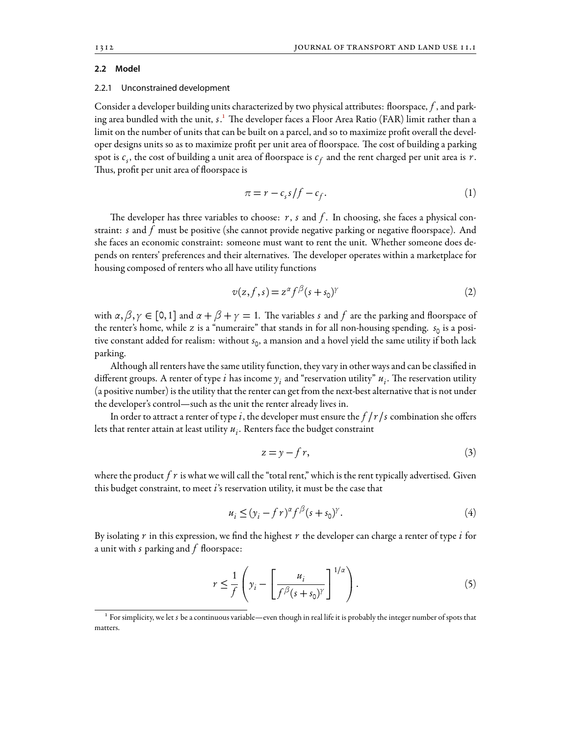#### **2.2 Model**

#### 2.2.1 Unconstrained development

Consider a developer building units characterized by two physical attributes: floorspace, *f* , and parking area bundled with the unit, *s*.<sup>1</sup> The developer faces a Floor Area Ratio (FAR) limit rather than a limit on the number of units that can be built on a parcel, and so to maximize profit overall the developer designs units so as to maximize profit per unit area of floorspace. The cost of building a parking spot is  $c_s$ , the cost of building a unit area of floorspace is  $c_f$  and the rent charged per unit area is  $r.$ Thus, profit per unit area of floorspace is

<span id="page-3-2"></span>
$$
\pi = r - c_s s / f - c_f. \tag{1}
$$

The developer has three variables to choose:  $r$ ,  $s$  and  $f$ . In choosing, she faces a physical constraint: *s* and *f* must be positive (she cannot provide negative parking or negative floorspace). And she faces an economic constraint: someone must want to rent the unit. Whether someone does depends on renters' preferences and their alternatives. The developer operates within a marketplace for housing composed of renters who all have utility functions

$$
v(z, f, s) = z^{\alpha} f^{\beta} (s + s_0)^{\gamma}
$$
 (2)

with  $\alpha, \beta, \gamma \in [0, 1]$  and  $\alpha + \beta + \gamma = 1$ . The variables *s* and *f* are the parking and floorspace of the renter's home, while *z* is a "numeraire" that stands in for all non-housing spending. *s* 0 is a positive constant added for realism: without *s* 0 , a mansion and a hovel yield the same utility if both lack parking.

Although all renters have the same utility function, they vary in other ways and can be classified in different groups. A renter of type  $i$  has income  $y_i$  and "reservation utility"  $u_i.$  The reservation utility (a positive number) is the utility that the renter can get from the next-best alternative that is not under the developer's control—such as the unit the renter already lives in.

In order to attract a renter of type *i*, the developer must ensure the *f /r /s* combination she offers lets that renter attain at least utility *u<sup>i</sup>* . Renters face the budget constraint

$$
z = y - f r,\tag{3}
$$

where the product  $f\,r$  is what we will call the "total rent," which is the rent typically advertised. Given this budget constraint, to meet *i*'s reservation utility, it must be the case that

<span id="page-3-1"></span>
$$
u_i \le (y_i - f\,r)^\alpha f^\beta (s + s_0)^\gamma. \tag{4}
$$

By isolating *r* in this expression, we find the highest *r* the developer can charge a renter of type *i* for a unit with *s* parking and *f* floorspace:

$$
r \leq \frac{1}{f} \left( y_i - \left[ \frac{u_i}{f^{\beta}(s + s_0)^{\gamma}} \right]^{1/\alpha} \right). \tag{5}
$$

<span id="page-3-0"></span><sup>&</sup>lt;sup>1</sup> For simplicity, we let *s* be a continuous variable—even though in real life it is probably the integer number of spots that matters.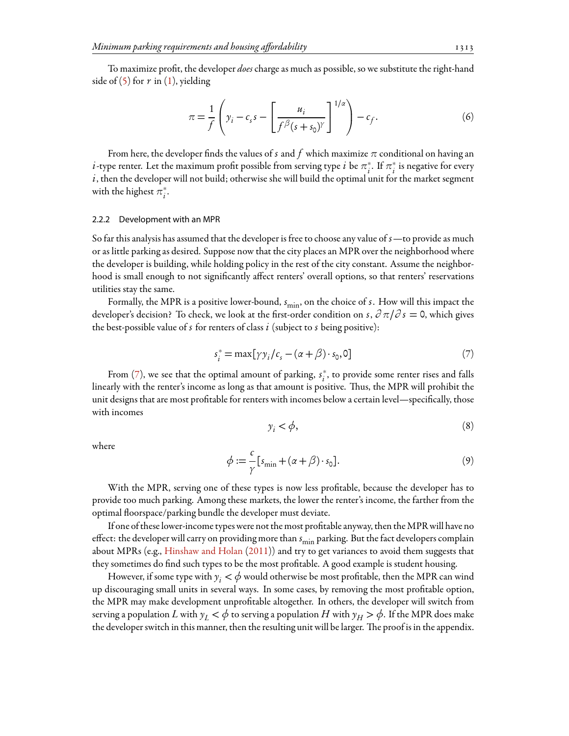To maximize profit, the developer *does*charge as much as possible, so we substitute the right-hand sideof  $(5)$  $(5)$  $(5)$  for  $r$  in  $(1)$ , yielding

<span id="page-4-1"></span>
$$
\pi = \frac{1}{f} \left( y_i - c_s s - \left[ \frac{u_i}{f^\beta (s + s_0)^\gamma} \right]^{1/\alpha} \right) - c_f. \tag{6}
$$

From here, the developer finds the values of *s* and f which maximize  $\pi$  conditional on having an *i*-type renter. Let the maximum profit possible from serving type *i* be  $\pi_i^*.$  If  $\pi_i^*$  is negative for every  $i$ , then the developer will not build; otherwise she will build the optimal unit for the market segment with the highest  $\pi_i^*$ .

#### 2.2.2 Development with an MPR

So far this analysis has assumed that the developer is free to choose any value of *s*—to provide as much or as little parking as desired. Suppose now that the city places an MPR over the neighborhood where the developer is building, while holding policy in the rest of the city constant. Assume the neighborhood is small enough to not significantly affect renters' overall options, so that renters' reservations utilities stay the same.

<span id="page-4-0"></span>Formally, the MPR is a positive lower-bound,  $s_{\min}$ , on the choice of *s*. How will this impact the developer's decision? To check, we look at the first-order condition on *s*, *∂ π/∂ s* = 0, which gives the best-possible value of *s* for renters of class *i* (subject to *s* being positive):

$$
s_i^* = \max[\gamma y_i/c_s - (\alpha + \beta) \cdot s_0, 0]
$$
\n<sup>(7)</sup>

From [\(7](#page-4-0)), we see that the optimal amount of parking,  $s_i^*$ , to provide some renter rises and falls linearly with the renter's income as long as that amount is positive. Thus, the MPR will prohibit the unit designs that are most profitable for renters with incomes below a certain level—specifically, those with incomes

$$
y_i < \phi,\tag{8}
$$

where

$$
\phi := \frac{c}{\gamma} [s_{\min} + (\alpha + \beta) \cdot s_0]. \tag{9}
$$

With the MPR, serving one of these types is now less profitable, because the developer has to provide too much parking. Among these markets, the lower the renter's income, the farther from the optimal floorspace/parking bundle the developer must deviate.

If one of these lower-income types were not the most profitable anyway, then theMPR will have no effect: the developer will carry on providing more than  $s_{\text{min}}$  parking. But the fact developers complain about MPRs (e.g., [Hinshaw and Holan](#page-9-8) ([2011\)](#page-9-8)) and try to get variances to avoid them suggests that they sometimes do find such types to be the most profitable. A good example is student housing.

However, if some type with  $y_i < \phi$  would otherwise be most profitable, then the MPR can wind up discouraging small units in several ways. In some cases, by removing the most profitable option, the MPR may make development unprofitable altogether. In others, the developer will switch from serving a population *L* with  $y_L < \phi$  to serving a population *H* with  $y_H > \phi$ . If the MPR does make the developer switch in this manner, then the resulting unit will be larger. The proof is in the appendix.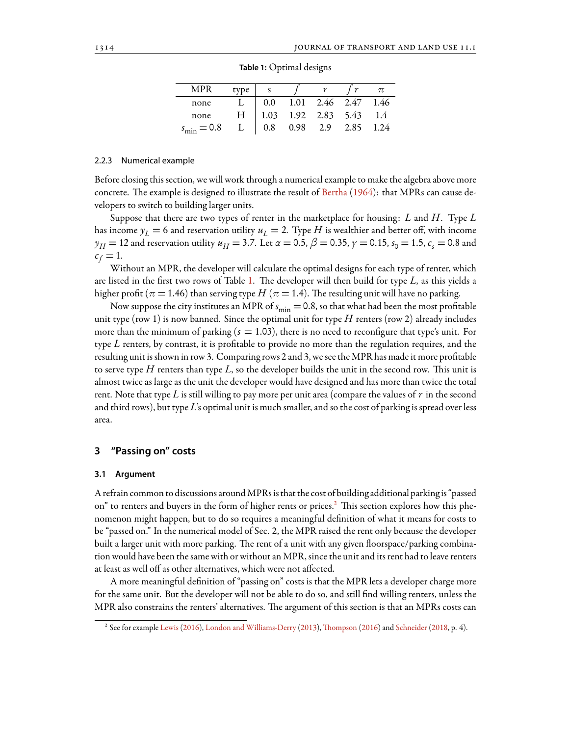<span id="page-5-0"></span>

| <b>MPR</b>       | type |         |      |                      |      |      |
|------------------|------|---------|------|----------------------|------|------|
| none             |      | 0.0     |      | $1.01$ $2.46$ $2.47$ |      | 1.46 |
| none             | Н    | 1.03    |      | $1.92$ $2.83$ $5.43$ |      | 1.4  |
| $s_{\min} = 0.8$ | L    | $0.8\,$ | 0.98 | 2.9                  | 2.85 | 1.24 |

**Table 1:** Optimal designs

#### 2.2.3 Numerical example

Before closing this section, we will work through a numerical example to make the algebra above more concrete. The example is designed to illustrate the result of [Bertha](#page-9-3)  $(1964)$  $(1964)$  $(1964)$ : that MPRs can cause developers to switch to building larger units.

Suppose that there are two types of renter in the marketplace for housing: *L* and *H*. Type *L* has income  $y_L = 6$  and reservation utility  $u_L = 2$ . Type *H* is wealthier and better off, with income  $y_H$  = 12 and reservation utility  $u_H$  = 3.7. Let  $\alpha$  = 0.5,  $\beta$  = 0.35,  $\gamma$  = 0.15,  $s_0$  = 1.5,  $c_{_S}$  = 0.8 and  $c_f = 1$ .

Without an MPR, the developer will calculate the optimal designs for each type of renter, which are listed in the first two rows of Table [1](#page-5-0). The developer will then build for type *L*, as this yields a higher profit ( $\pi$  = 1.46) than serving type  $H$  ( $\pi$  = 1.4). The resulting unit will have no parking.

Now suppose the city institutes an MPR of  $s_{\text{min}} = 0.8$ , so that what had been the most profitable unit type (row 1) is now banned. Since the optimal unit for type *H* renters (row 2) already includes more than the minimum of parking  $(s = 1.03)$ , there is no need to reconfigure that type's unit. For type *L* renters, by contrast, it is profitable to provide no more than the regulation requires, and the resulting unit is shown in row 3. Comparing rows 2 and 3, we see the MPR has made it more profitable to serve type  $H$  renters than type  $L$ , so the developer builds the unit in the second row. This unit is almost twice as large as the unit the developer would have designed and has more than twice the total rent. Note that type *L* is still willing to pay more per unit area (compare the values of *r* in the second and third rows), but type *L*'s optimal unit is much smaller, and so the cost of parking is spread over less area.

# **3 "Passing on" costs**

#### **3.1 Argument**

A refrain common to discussions aroundMPRs is that the cost of building additional parking is "passed on" to renters and buyers in the form of higher rents or prices.<sup>2</sup> This section explores how this phenomenon might happen, but to do so requires a meaningful definition of what it means for costs to be "passed on." In the numerical model of Sec. 2, the MPR raised the rent only because the developer built a larger unit with more parking. The rent of a unit with any given floorspace/parking combination would have been the same with or without an MPR, since the unit and its rent had to leave renters at least as well off as other alternatives, which were not affected.

A more meaningful definition of "passing on" costs is that the MPR lets a developer charge more for the same unit. But the developer will not be able to do so, and still find willing renters, unless the MPR also constrains the renters' alternatives. The argument of this section is that an MPRs costs can

<span id="page-5-1"></span><sup>&</sup>lt;sup>2</sup> See for example [Lewis](#page-10-11) [\(2016](#page-10-11)), [London and Williams-Derry](#page-10-12) ([2013](#page-10-12)), Th[ompson](#page-10-13) [\(2016\)](#page-10-13) and [Schneider](#page-10-14) ([2018,](#page-10-14) p. 4).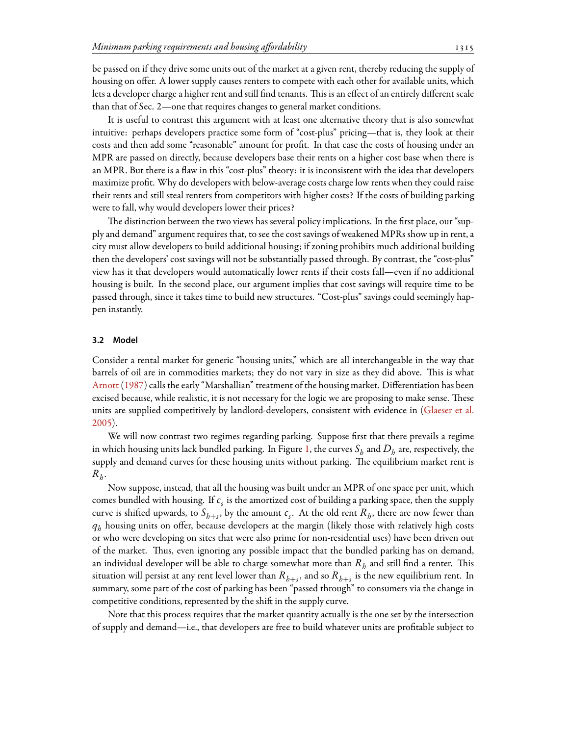be passed on if they drive some units out of the market at a given rent, thereby reducing the supply of housing on offer. A lower supply causes renters to compete with each other for available units, which lets a developer charge a higher rent and still find tenants. This is an effect of an entirely different scale than that of Sec. 2—one that requires changes to general market conditions.

It is useful to contrast this argument with at least one alternative theory that is also somewhat intuitive: perhaps developers practice some form of "cost-plus" pricing—that is, they look at their costs and then add some "reasonable" amount for profit. In that case the costs of housing under an MPR are passed on directly, because developers base their rents on a higher cost base when there is an MPR. But there is a flaw in this "cost-plus" theory: it is inconsistent with the idea that developers maximize profit. Why do developers with below-average costs charge low rents when they could raise their rents and still steal renters from competitors with higher costs? If the costs of building parking were to fall, why would developers lower their prices?

The distinction between the two views has several policy implications. In the first place, our "supply and demand" argument requires that, to see the cost savings of weakened MPRs show up in rent, a city must allow developers to build additional housing; if zoning prohibits much additional building then the developers' cost savings will not be substantially passed through. By contrast, the "cost-plus" view has it that developers would automatically lower rents if their costs fall—even if no additional housing is built. In the second place, our argument implies that cost savings will require time to be passed through, since it takes time to build new structures. "Cost-plus" savings could seemingly happen instantly.

### **3.2 Model**

Consider a rental market for generic "housing units," which are all interchangeable in the way that barrels of oil are in commodities markets; they do not vary in size as they did above. This is what [Arnott](#page-9-10) ([1987\)](#page-9-10) calls the early "Marshallian" treatment of the housing market. Differentiation has been excised because, while realistic, it is not necessary for the logic we are proposing to make sense. These units are supplied competitively by landlord-developers, consistent with evidence in [\(Glaeser et al.](#page-9-11) [2005](#page-9-11)).

We will now contrast two regimes regarding parking. Suppose first that there prevails a regime in which housing units lack bundled parking. In Figure [1](#page-7-0), the curves  $S_h$  and  $D_h$  are, respectively, the supply and demand curves for these housing units without parking. The equilibrium market rent is  $R_h$ .

Now suppose, instead, that all the housing was built under an MPR of one space per unit, which comes bundled with housing. If *c<sup>s</sup>* is the amortized cost of building a parking space, then the supply curve is shifted upwards, to  $S_{h+s}$ , by the amount  $c_s$ . At the old rent  $R_h$ , there are now fewer than  $q_h$  housing units on offer, because developers at the margin (likely those with relatively high costs or who were developing on sites that were also prime for non-residential uses) have been driven out of the market. Thus, even ignoring any possible impact that the bundled parking has on demand, an individual developer will be able to charge somewhat more than  $R_h$  and still find a renter. This situation will persist at any rent level lower than  $R_{h+s}$ , and so  $R_{h+s}$  is the new equilibrium rent. In summary, some part of the cost of parking has been "passed through" to consumers via the change in competitive conditions, represented by the shift in the supply curve.

Note that this process requires that the market quantity actually is the one set by the intersection of supply and demand—i.e., that developers are free to build whatever units are profitable subject to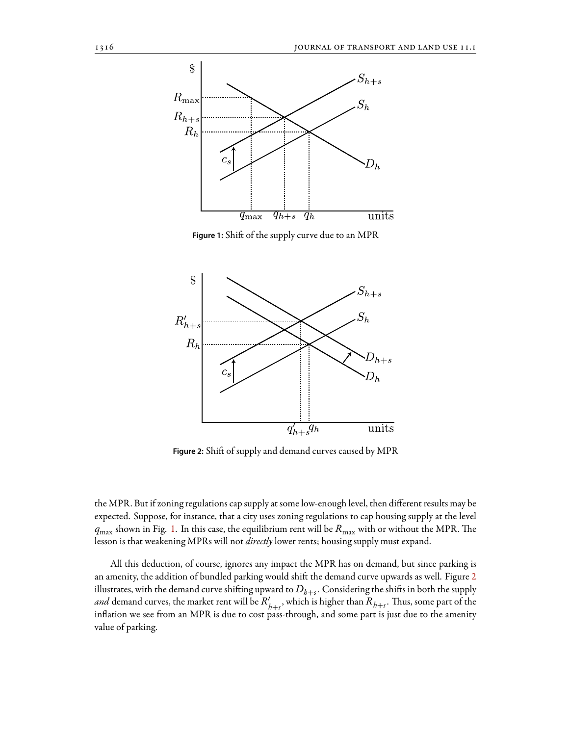<span id="page-7-0"></span>

Figure 1: Shift of the supply curve due to an MPR

<span id="page-7-1"></span>

Figure 2: Shift of supply and demand curves caused by MPR

the MPR. But if zoning regulations cap supply at some low-enough level, then different results may be expected. Suppose, for instance, that a city uses zoning regulations to cap housing supply at the level  $q_{\text{max}}$  shown in Fig. [1.](#page-7-0) In this case, the equilibrium rent will be  $R_{\text{max}}$  with or without the MPR. The lesson is that weakening MPRs will not *directly* lower rents; housing supply must expand.

All this deduction, of course, ignores any impact the MPR has on demand, but since parking is an amenity, the addition of bundled parking would shift the demand curve upwards as well. Figure [2](#page-7-1) illustrates, with the demand curve shifting upward to  $D_{h+s}.$  Considering the shifts in both the supply *and* demand curves, the market rent will be  $R'_{h+s}$ , which is higher than  $R_{h+s}$ . Thus, some part of the inflation we see from an MPR is due to cost pass-through, and some part is just due to the amenity value of parking.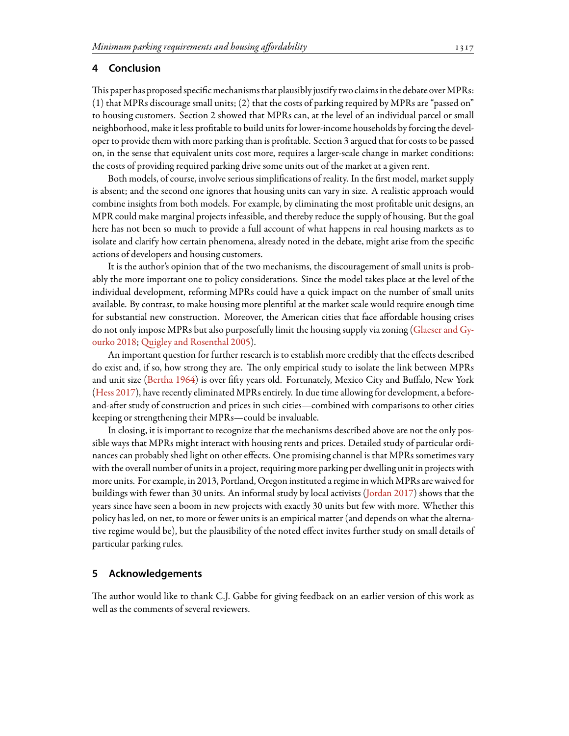# **4 Conclusion**

This paper has proposed specific mechanisms that plausibly justify two claims in the debate over MPRs: (1) that MPRs discourage small units; (2) that the costs of parking required by MPRs are "passed on" to housing customers. Section 2 showed that MPRs can, at the level of an individual parcel or small neighborhood, make it less profitable to build units for lower-income households by forcing the developer to provide them with more parking than is profitable. Section 3 argued that for costs to be passed on, in the sense that equivalent units cost more, requires a larger-scale change in market conditions: the costs of providing required parking drive some units out of the market at a given rent.

Both models, of course, involve serious simplifications of reality. In the first model, market supply is absent; and the second one ignores that housing units can vary in size. A realistic approach would combine insights from both models. For example, by eliminating the most profitable unit designs, an MPR could make marginal projects infeasible, and thereby reduce the supply of housing. But the goal here has not been so much to provide a full account of what happens in real housing markets as to isolate and clarify how certain phenomena, already noted in the debate, might arise from the specific actions of developers and housing customers.

It is the author's opinion that of the two mechanisms, the discouragement of small units is probably the more important one to policy considerations. Since the model takes place at the level of the individual development, reforming MPRs could have a quick impact on the number of small units available. By contrast, to make housing more plentiful at the market scale would require enough time for substantial new construction. Moreover, the American cities that face affordable housing crises do not only impose MPRs but also purposefully limit the housing supply via zoning([Glaeser and Gy](#page-9-12)[ourko](#page-9-12) [2018;](#page-9-12) Q[uigley and Rosenthal](#page-10-15) [2005\)](#page-10-15).

An important question for further research is to establish more credibly that the effects described do exist and, if so, how strong they are. The only empirical study to isolate the link between MPRs and unit size [\(Bertha](#page-9-3) [1964](#page-9-3)) is over fifty years old. Fortunately, Mexico City and Buffalo, New York ([Hess](#page-9-13) [2017\)](#page-9-13), have recently eliminated MPRs entirely. In due time allowing for development, a beforeand-after study of construction and prices in such cities—combined with comparisons to other cities keeping or strengthening their MPRs—could be invaluable.

In closing, it is important to recognize that the mechanisms described above are not the only possible ways that MPRs might interact with housing rents and prices. Detailed study of particular ordinances can probably shed light on other effects. One promising channel is that MPRs sometimes vary with the overall number of units in a project, requiring more parking per dwelling unit in projects with more units. For example, in 2013, Portland, Oregon instituted a regime in which MPRs are waived for buildings with fewer than 30 units. An informal study by local activists [\(Jordan](#page-10-16) [2017](#page-10-16)) shows that the years since have seen a boom in new projects with exactly 30 units but few with more. Whether this policy has led, on net, to more or fewer units is an empirical matter (and depends on what the alternative regime would be), but the plausibility of the noted effect invites further study on small details of particular parking rules.

# **5 Acknowledgements**

The author would like to thank C.J. Gabbe for giving feedback on an earlier version of this work as well as the comments of several reviewers.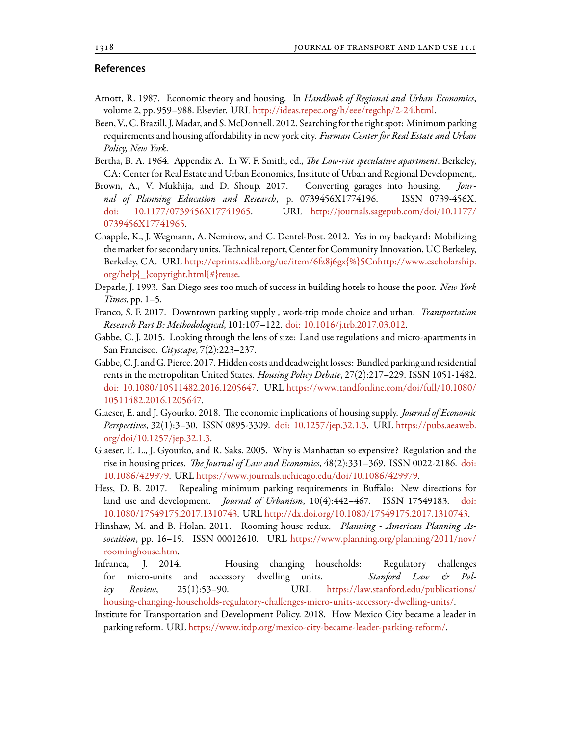# **References**

- <span id="page-9-10"></span>Arnott, R. 1987. Economic theory and housing. In *Handbook of Regional and Urban Economics*, volume 2, pp. 959–988. Elsevier. URL <http://ideas.repec.org/h/eee/regchp/2-24.html>.
- <span id="page-9-5"></span>Been, V., C. Brazill, J.Madar, and S.McDonnell. 2012. Searchingfor the right spot: Minimum parking requirements and housing affordability in new york city. *Furman Center for Real Estate and Urban Policy, New York*.
- <span id="page-9-3"></span>Bertha, B. A. 1964. Appendix A. In W. F. Smith, ed., *The Low-rise speculative apartment*. Berkeley, CA: Center for Real Estate and Urban Economics, Institute of Urban and Regional Development,.
- <span id="page-9-6"></span>Brown, A., V. Mukhija, and D. Shoup. 2017. Converting garages into housing. *Journal of Planning Education and Research*, p. 0739456X1774196. ISSN 0739-456X. [doi: 10.1177/0739456X17741965.](http://dx.doi.org/10.1177/0739456X17741965) URL [http://journals.sagepub.com/doi/10.1177/](http://journals.sagepub.com/doi/10.1177/0739456X17741965) [0739456X17741965.](http://journals.sagepub.com/doi/10.1177/0739456X17741965)
- <span id="page-9-7"></span>Chapple, K., J. Wegmann, A. Nemirow, and C. Dentel-Post. 2012. Yes in my backyard: Mobilizing the market for secondary units. Technical report, Center for Community Innovation, UC Berkeley, Berkeley, CA. URL [http://eprints.cdlib.org/uc/item/6fz8j6gx{%}5Cnhttp://www.escholarship.](http://eprints.cdlib.org/uc/item/6fz8j6gx{%}5Cnhttp://www.escholarship.org/help{_}copyright.html{#}reuse) [org/help{\\_}copyright.html{#}reuse](http://eprints.cdlib.org/uc/item/6fz8j6gx{%}5Cnhttp://www.escholarship.org/help{_}copyright.html{#}reuse).
- Deparle, J. 1993. San Diego sees too much of success in building hotels to house the poor. *New York Times*, pp. 1–5.
- <span id="page-9-9"></span>Franco, S. F. 2017. Downtown parking supply , work-trip mode choice and urban. *Transportation Research Part B: Methodological*, 101:107–122. [doi: 10.1016/j.trb.2017.03.012](http://dx.doi.org/10.1016/j.trb.2017.03.012).
- <span id="page-9-4"></span>Gabbe, C. J. 2015. Looking through the lens of size: Land use regulations and micro-apartments in San Francisco. *Cityscape*, 7(2):223–237.
- <span id="page-9-2"></span>Gabbe, C. J. and G. Pierce. 2017. Hidden costs and deadweight losses: Bundled parking and residential rents in the metropolitan United States. *Housing Policy Debate*, 27(2):217–229. ISSN 1051-1482. [doi: 10.1080/10511482.2016.1205647.](http://dx.doi.org/10.1080/10511482.2016.1205647) URL [https://www.tandfonline.com/doi/full/10.1080/](https://www.tandfonline.com/doi/full/10.1080/10511482.2016.1205647) [10511482.2016.1205647.](https://www.tandfonline.com/doi/full/10.1080/10511482.2016.1205647)
- <span id="page-9-12"></span>Glaeser, E. and J. Gyourko. 2018. The economic implications of housing supply. *Journal of Economic Perspectives*, 32(1):3–30. ISSN 0895-3309. [doi: 10.1257/jep.32.1.3.](http://dx.doi.org/10.1257/jep.32.1.3) URL [https://pubs.aeaweb.](https://pubs.aeaweb.org/doi/10.1257/jep.32.1.3) [org/doi/10.1257/jep.32.1.3](https://pubs.aeaweb.org/doi/10.1257/jep.32.1.3).
- <span id="page-9-11"></span>Glaeser, E. L., J. Gyourko, and R. Saks. 2005. Why is Manhattan so expensive? Regulation and the rise in housing prices. *The Journal of Law and Economics*, 48(2):331–369. ISSN 0022-2186. [doi:](http://dx.doi.org/10.1086/429979) [10.1086/429979.](http://dx.doi.org/10.1086/429979) URL [https://www.journals.uchicago.edu/doi/10.1086/429979.](https://www.journals.uchicago.edu/doi/10.1086/429979)
- <span id="page-9-13"></span>Hess, D. B. 2017. Repealing minimum parking requirements in Buffalo: New directions for land use and development. *Journal of Urbanism*, 10(4):442–467. ISSN 17549183. [doi:](http://dx.doi.org/10.1080/17549175.2017.1310743) [10.1080/17549175.2017.1310743](http://dx.doi.org/10.1080/17549175.2017.1310743). URL [http://dx.doi.org/10.1080/17549175.2017.1310743.](http://dx.doi.org/10.1080/17549175.2017.1310743)
- <span id="page-9-8"></span>Hinshaw, M. and B. Holan. 2011. Rooming house redux. *Planning - American Planning Assocaition*, pp. 16–19. ISSN 00012610. URL [https://www.planning.org/planning/2011/nov/](https://www.planning.org/planning/2011/nov/roominghouse.htm) [roominghouse.htm.](https://www.planning.org/planning/2011/nov/roominghouse.htm)
- <span id="page-9-1"></span>Infranca, J. 2014. Housing changing households: Regulatory challenges for micro-units and accessory dwelling units. *Stanford Law & Policy Review*, 25(1):53–90. URL [https://law.stanford.edu/publications/](https://law.stanford.edu/publications/housing-changing-households-regulatory-challenges-micro-units-accessory-dwelling-units/) [housing-changing-households-regulatory-challenges-micro-units-accessory-dwelling-units/.](https://law.stanford.edu/publications/housing-changing-households-regulatory-challenges-micro-units-accessory-dwelling-units/)
- <span id="page-9-0"></span>Institute for Transportation and Development Policy. 2018. How Mexico City became a leader in parking reform. URL [https://www.itdp.org/mexico-city-became-leader-parking-reform/.](https://www.itdp.org/mexico-city-became-leader-parking-reform/)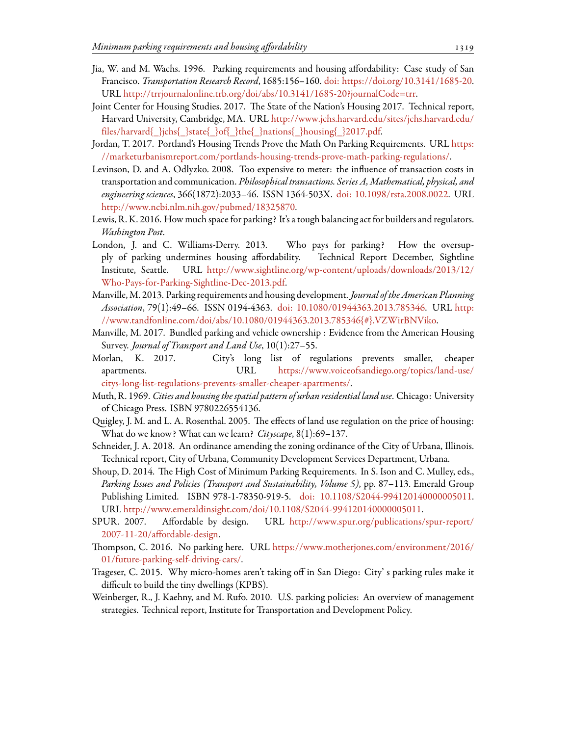- <span id="page-10-2"></span>Jia, W. and M. Wachs. 1996. Parking requirements and housing affordability: Case study of San Francisco. *Transportation Research Record*, 1685:156–160. [doi: https://doi.org/10.3141/1685-20](http://dx.doi.org/https://doi.org/10.3141/1685-20). URL [http://trrjournalonline.trb.org/doi/abs/10.3141/1685-20?journalCode=trr.](http://trrjournalonline.trb.org/doi/abs/10.3141/1685-20?journalCode=trr)
- <span id="page-10-0"></span>Joint Center for Housing Studies. 2017. The State of the Nation's Housing 2017. Technical report, Harvard University, Cambridge, MA. URL [http://www.jchs.harvard.edu/sites/jchs.harvard.edu/](http://www.jchs.harvard.edu/sites/jchs.harvard.edu/files/harvard{_}jchs{_}state{_}of{_}the{_}nations{_}housing{_}2017.pdf) [files/harvard{\\_}jchs{\\_}state{\\_}of{\\_}the{\\_}nations{\\_}housing{\\_}2017.pdf.](http://www.jchs.harvard.edu/sites/jchs.harvard.edu/files/harvard{_}jchs{_}state{_}of{_}the{_}nations{_}housing{_}2017.pdf)
- <span id="page-10-16"></span>Jordan, T. 2017. Portland's Housing Trends Prove the Math On Parking Requirements. URL [https:](https://marketurbanismreport.com/portlands-housing-trends-prove-math-parking-regulations/) [//marketurbanismreport.com/portlands-housing-trends-prove-math-parking-regulations/.](https://marketurbanismreport.com/portlands-housing-trends-prove-math-parking-regulations/)
- <span id="page-10-7"></span>Levinson, D. and A. Odlyzko. 2008. Too expensive to meter: the influence of transaction costs in transportation and communication. *Philosophical transactions. Series A, Mathematical, physical, and engineering sciences*, 366(1872):2033–46. ISSN 1364-503X. [doi: 10.1098/rsta.2008.0022](http://dx.doi.org/10.1098/rsta.2008.0022). URL [http://www.ncbi.nlm.nih.gov/pubmed/18325870.](http://www.ncbi.nlm.nih.gov/pubmed/18325870)
- <span id="page-10-11"></span>Lewis, R. K. 2016. How much space for parking? It's a tough balancing act for builders and regulators. *Washington Post*.
- <span id="page-10-12"></span>London, J. and C. Williams-Derry. 2013. Who pays for parking? How the oversupply of parking undermines housing affordability. Technical Report December, Sightline Institute, Seattle. URL [http://www.sightline.org/wp-content/uploads/downloads/2013/12/](http://www.sightline.org/wp-content/uploads/downloads/2013/12/Who-Pays-for-Parking-Sightline-Dec-2013.pdf) [Who-Pays-for-Parking-Sightline-Dec-2013.pdf.](http://www.sightline.org/wp-content/uploads/downloads/2013/12/Who-Pays-for-Parking-Sightline-Dec-2013.pdf)
- <span id="page-10-1"></span>Manville, M. 2013. Parking requirements and housing development. *Journal of the American Planning Association*, 79(1):49–66. ISSN 0194-4363. [doi: 10.1080/01944363.2013.785346](http://dx.doi.org/10.1080/01944363.2013.785346). URL [http:](http://www.tandfonline.com/doi/abs/10.1080/01944363.2013.785346{#}.VZWirBNViko) [//www.tandfonline.com/doi/abs/10.1080/01944363.2013.785346{#}.VZWirBNViko.](http://www.tandfonline.com/doi/abs/10.1080/01944363.2013.785346{#}.VZWirBNViko)
- <span id="page-10-6"></span>Manville, M. 2017. Bundled parking and vehicle ownership : Evidence from the American Housing Survey. *Journal of Transport and Land Use*, 10(1):27–55.
- <span id="page-10-3"></span>Morlan, K. 2017. City's long list of regulations prevents smaller, cheaper apartments. URL [https://www.voiceofsandiego.org/topics/land-use/](https://www.voiceofsandiego.org/topics/land-use/citys-long-list-regulations-prevents-smaller-cheaper-apartments/) [citys-long-list-regulations-prevents-smaller-cheaper-apartments/](https://www.voiceofsandiego.org/topics/land-use/citys-long-list-regulations-prevents-smaller-cheaper-apartments/).
- <span id="page-10-10"></span>Muth, R. 1969. *Cities and housing the spatial pattern of urban residential land use*. Chicago: University of Chicago Press. ISBN 9780226554136.
- <span id="page-10-15"></span>Quigley, J. M. and L. A. Rosenthal. 2005. The effects of land use regulation on the price of housing: What do we know? What can we learn? *Cityscape*, 8(1):69–137.
- <span id="page-10-14"></span>Schneider, J. A. 2018. An ordinance amending the zoning ordinance of the City of Urbana, Illinois. Technical report, City of Urbana, Community Development Services Department, Urbana.
- <span id="page-10-5"></span>Shoup, D. 2014. The High Cost of Minimum Parking Requirements. In S. Ison and C. Mulley, eds., *Parking Issues and Policies (Transport and Sustainability, Volume 5)*, pp. 87–113. Emerald Group Publishing Limited. ISBN 978-1-78350-919-5. [doi: 10.1108/S2044-994120140000005011](http://dx.doi.org/10.1108/S2044-994120140000005011). URL [http://www.emeraldinsight.com/doi/10.1108/S2044-994120140000005011.](http://www.emeraldinsight.com/doi/10.1108/S2044-994120140000005011)
- <span id="page-10-8"></span>SPUR. 2007. Affordable by design. URL [http://www.spur.org/publications/spur-report/](http://www.spur.org/publications/spur-report/2007-11-20/affordable-design) [2007-11-20/affordable-design.](http://www.spur.org/publications/spur-report/2007-11-20/affordable-design)
- <span id="page-10-13"></span>Thompson, C. 2016. No parking here. URL [https://www.motherjones.com/environment/2016/](https://www.motherjones.com/environment/2016/01/future-parking-self-driving-cars/) [01/future-parking-self-driving-cars/.](https://www.motherjones.com/environment/2016/01/future-parking-self-driving-cars/)
- <span id="page-10-9"></span>Trageser, C. 2015. Why micro-homes aren't taking off in San Diego: City' s parking rules make it difficult to build the tiny dwellings (KPBS).
- <span id="page-10-4"></span>Weinberger, R., J. Kaehny, and M. Rufo. 2010. U.S. parking policies: An overview of management strategies. Technical report, Institute for Transportation and Development Policy.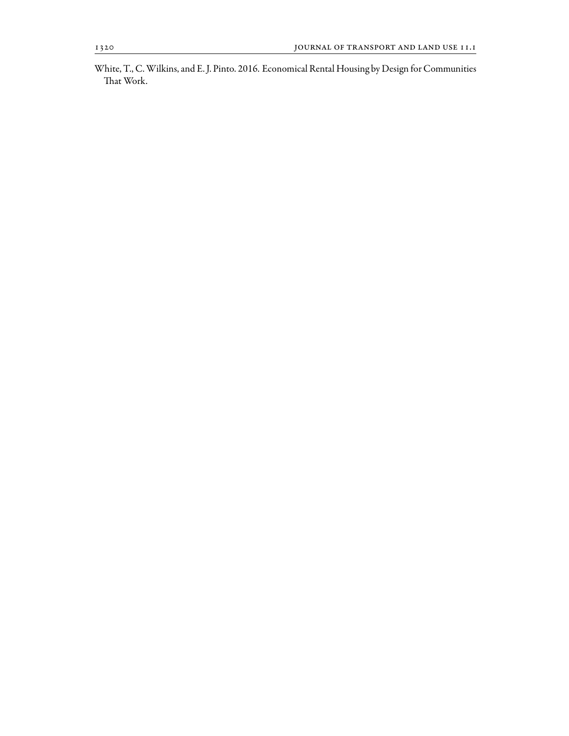<span id="page-11-0"></span>White, T., C.Wilkins, and E. J. Pinto. 2016. Economical Rental Housing by Design for Communities That Work.